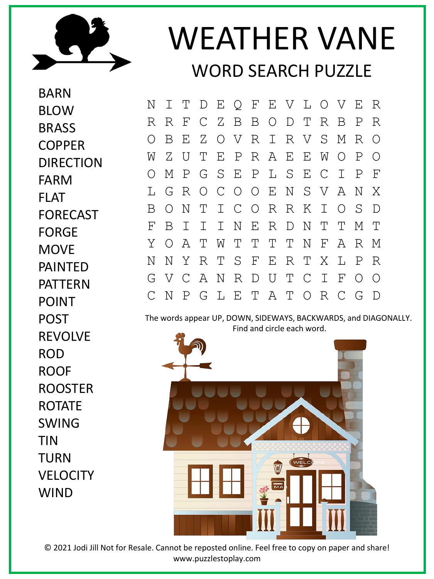

## WEATHER VANE WORD SEARCH PUZZLE

BARN BLOW BRASS **COPPER DIRECTION** FARM FLAT FORECAST FORGE **MOVF** PAINTED PATTERN POINT POST REVOLVE ROD ROOF ROOSTER ROTATE SWING TIN TURN **VELOCITY** WIND

N I T D E Q F E V L O V E R R R F C Z B B O D T R B P R O B E Z O V R I R V S M R O W Z U T E P R A E E W O P O O M P G S E P L S E C I P F L G R O C O O E N S V A N X B O N T I C O R R K I O S D F B I I I N E R D N T T M T Y O A T W T T T T N F A R M N N Y R T S F E R T X L P R G V C A N R D U T C I F O O C N P G L E T A T O R C G D

The words appear UP, DOWN, SIDEWAYS, BACKWARDS, and DIAGONALLY. Find and circle each word.



© 2021 Jodi Jill Not for Resale. Cannot be reposted online. Feel free to copy on paper and share! www.puzzlestoplay.com